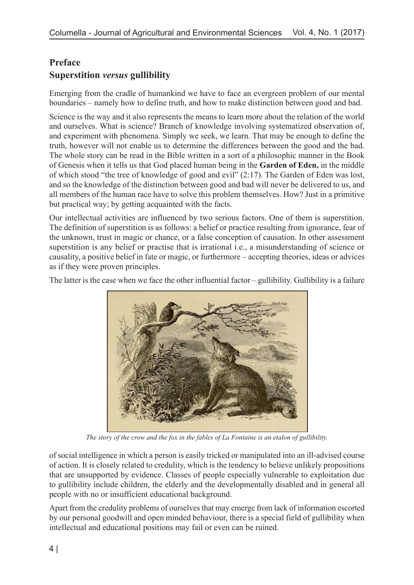## **Preface Superstition** *versus* **gullibility**

Emerging from the cradle of humankind we have to face an evergreen problem of our mental boundaries – namely how to define truth, and how to make distinction between good and bad.

Science is the way and it also represents the means to learn more about the relation of the world and ourselves. What is science? Branch of knowledge involving systematized observation of, and experiment with phenomena. Simply we seek, we learn. That may be enough to define the truth, however will not enable us to determine the differences between the good and the bad. The whole story can be read in the Bible written in a sort of a philosophic manner in the Book of Genesis when it tells us that God placed human being in the **Garden of Eden,** in the middle of which stood "the tree of knowledge of good and evil" (2:17). The Garden of Eden was lost, and so the knowledge of the distinction between good and bad will never be delivered to us, and all members of the human race have to solve this problem themselves. How? Just in a primitive but practical way; by getting acquainted with the facts.

Our intellectual activities are influenced by two serious factors. One of them is superstition. The definition of superstition is as follows: a belief or practice resulting from ignorance, fear of the unknown, trust in magic or chance, or a false conception of causation. In other assessment superstition is any belief or practise that is irrational i.e., a misunderstanding of science or causality, a positive belief in fate or magic, or furthermore – accepting theories, ideas or advices as if they were proven principles.

The latter is the case when we face the other influential factor – gullibility. Gullibility is a failure



*The story of the crow and the fox in the fables of La Fontaine is an etalon of gullibility.*

of social intelligence in which a person is easily tricked or manipulated into an ill-advised course of action. It is closely related to credulity, which is the tendency to believe unlikely propositions that are unsupported by evidence. Classes of people especially vulnerable to exploitation due to gullibility include children, the elderly and the developmentally disabled and in general all people with no or insufficient educational background.

Apart from the credulity problems of ourselves that may emerge from lack of information escorted by our personal goodwill and open minded behaviour, there is a special field of gullibility when intellectual and educational positions may fail or even can be ruined.